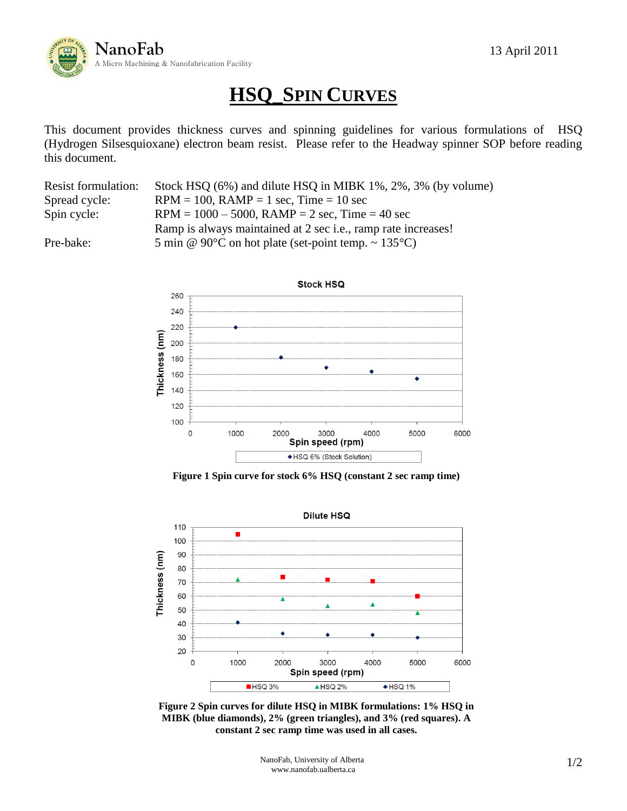

## **HSQ\_SPIN CURVES**

This document provides thickness curves and spinning guidelines for various formulations of HSQ (Hydrogen Silsesquioxane) electron beam resist. Please refer to the Headway spinner SOP before reading this document.

| <b>Resist formulation:</b> | Stock HSQ (6%) and dilute HSQ in MIBK 1%, 2%, 3% (by volume)            |
|----------------------------|-------------------------------------------------------------------------|
| Spread cycle:              | $RPM = 100$ , $RAMP = 1$ sec, $Time = 10$ sec                           |
| Spin cycle:                | $RPM = 1000 - 5000$ , $RAMP = 2$ sec, $Time = 40$ sec                   |
|                            | Ramp is always maintained at 2 sec i.e., ramp rate increases!           |
| Pre-bake:                  | 5 min @ 90 $\degree$ C on hot plate (set-point temp. ~ 135 $\degree$ C) |



**Figure 1 Spin curve for stock 6% HSQ (constant 2 sec ramp time)**



**Figure 2 Spin curves for dilute HSQ in MIBK formulations: 1% HSQ in MIBK (blue diamonds), 2% (green triangles), and 3% (red squares). A constant 2 sec ramp time was used in all cases.**